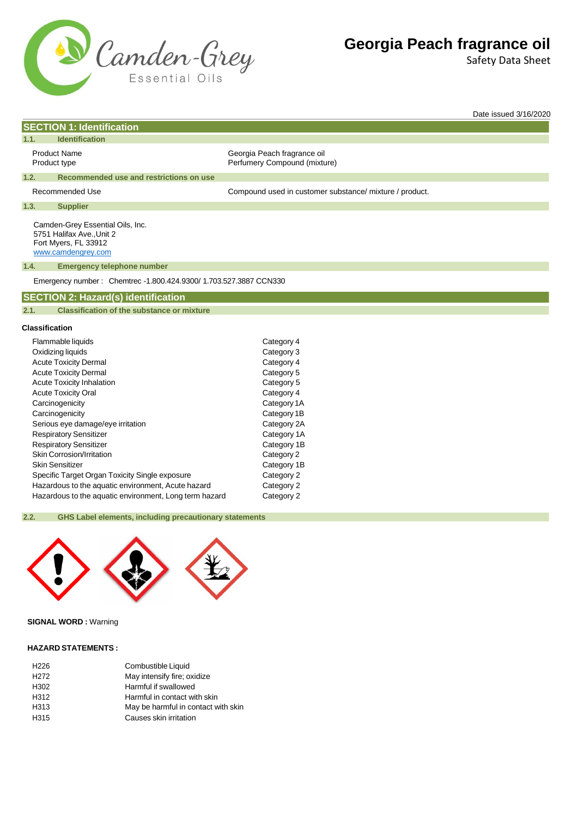

Safety Data Sheet

Date issued 3/16/2020

|                                     | <b>SECTION 1: Identification</b>                                                                            |                                                             |  |  |
|-------------------------------------|-------------------------------------------------------------------------------------------------------------|-------------------------------------------------------------|--|--|
| 1.1.                                | <b>Identification</b>                                                                                       |                                                             |  |  |
| <b>Product Name</b><br>Product type |                                                                                                             | Georgia Peach fragrance oil<br>Perfumery Compound (mixture) |  |  |
| 1.2.                                | Recommended use and restrictions on use                                                                     |                                                             |  |  |
| Recommended Use                     |                                                                                                             | Compound used in customer substance/ mixture / product.     |  |  |
| 1.3.                                | <b>Supplier</b>                                                                                             |                                                             |  |  |
|                                     | Camden-Grey Essential Oils, Inc.<br>5751 Halifax Ave., Unit 2<br>Fort Myers, FL 33912<br>www.camdengrey.com |                                                             |  |  |
| 1.4.                                | <b>Emergency telephone number</b>                                                                           |                                                             |  |  |
|                                     | Emergency number: Chemtrec -1.800.424.9300/ 1.703.527.3887 CCN330                                           |                                                             |  |  |
|                                     | <b>SECTION 2: Hazard(s) identification</b>                                                                  |                                                             |  |  |
| 2.1.                                | <b>Classification of the substance or mixture</b>                                                           |                                                             |  |  |
| <b>Classification</b>               |                                                                                                             |                                                             |  |  |
|                                     | Flammable liquids                                                                                           | Category 4                                                  |  |  |
| Oxidizing liquids                   |                                                                                                             | Category 3                                                  |  |  |
| <b>Acute Toxicity Dermal</b>        |                                                                                                             | Category 4                                                  |  |  |
| <b>Acute Toxicity Dermal</b>        |                                                                                                             | Category 5                                                  |  |  |
| <b>Acute Toxicity Inhalation</b>    |                                                                                                             | Category 5                                                  |  |  |
| <b>Acute Toxicity Oral</b>          |                                                                                                             | Category 4                                                  |  |  |
| Carcinogenicity                     |                                                                                                             | Category 1A                                                 |  |  |
| Carcinogenicity                     |                                                                                                             | Category 1B                                                 |  |  |
| Serious eye damage/eye irritation   |                                                                                                             | Category 2A                                                 |  |  |

| Serious eye damage/eye irritation                      | Category 2A |
|--------------------------------------------------------|-------------|
| <b>Respiratory Sensitizer</b>                          | Category 1A |
| <b>Respiratory Sensitizer</b>                          | Category 1B |
| Skin Corrosion/Irritation                              | Category 2  |
| <b>Skin Sensitizer</b>                                 | Category 1B |
| Specific Target Organ Toxicity Single exposure         | Category 2  |
| Hazardous to the aquatic environment, Acute hazard     | Category 2  |
| Hazardous to the aquatic environment, Long term hazard | Category 2  |
|                                                        |             |

### **2.2. GHS Label elements, including precautionary statements**



## **SIGNAL WORD :** Warning

#### **HAZARD STATEMENTS :**

| Combustible Liquid                  |
|-------------------------------------|
| May intensify fire; oxidize         |
| Harmful if swallowed                |
| Harmful in contact with skin        |
| May be harmful in contact with skin |
| Causes skin irritation              |
|                                     |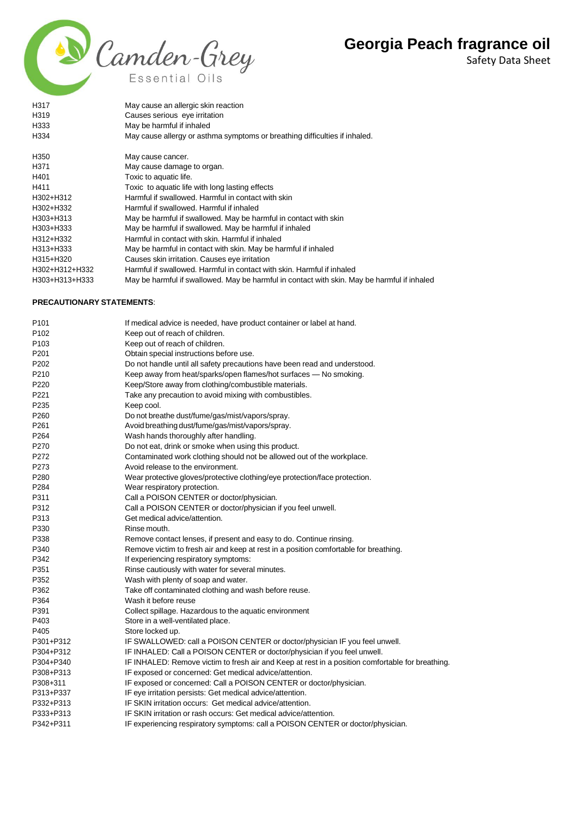Safety Data Sheet



| H317                             | May cause an allergic skin reaction                                                         |
|----------------------------------|---------------------------------------------------------------------------------------------|
| H319                             | Causes serious eye irritation                                                               |
| H333                             | May be harmful if inhaled                                                                   |
| H334                             | May cause allergy or asthma symptoms or breathing difficulties if inhaled.                  |
| H350                             | May cause cancer.                                                                           |
| H371                             | May cause damage to organ.                                                                  |
| H401                             | Toxic to aquatic life.                                                                      |
| H411                             | Toxic to aquatic life with long lasting effects                                             |
| H302+H312                        | Harmful if swallowed. Harmful in contact with skin                                          |
| H302+H332                        | Harmful if swallowed. Harmful if inhaled                                                    |
| H303+H313                        | May be harmful if swallowed. May be harmful in contact with skin                            |
| H303+H333                        | May be harmful if swallowed. May be harmful if inhaled                                      |
| H312+H332                        | Harmful in contact with skin. Harmful if inhaled                                            |
| H313+H333                        | May be harmful in contact with skin. May be harmful if inhaled                              |
| H315+H320                        | Causes skin irritation. Causes eye irritation                                               |
| H302+H312+H332                   | Harmful if swallowed. Harmful in contact with skin. Harmful if inhaled                      |
| H303+H313+H333                   | May be harmful if swallowed. May be harmful in contact with skin. May be harmful if inhaled |
| <b>PRECAUTIONARY STATEMENTS:</b> |                                                                                             |
|                                  |                                                                                             |

| P <sub>101</sub> | If medical advice is needed, have product container or label at hand.                            |
|------------------|--------------------------------------------------------------------------------------------------|
| P <sub>102</sub> | Keep out of reach of children.                                                                   |
| P <sub>103</sub> | Keep out of reach of children.                                                                   |
| P201             | Obtain special instructions before use.                                                          |
| P <sub>202</sub> | Do not handle until all safety precautions have been read and understood.                        |
| P210             | Keep away from heat/sparks/open flames/hot surfaces - No smoking.                                |
| P220             | Keep/Store away from clothing/combustible materials.                                             |
| P221             | Take any precaution to avoid mixing with combustibles.                                           |
| P <sub>235</sub> | Keep cool.                                                                                       |
| P260             | Do not breathe dust/fume/gas/mist/vapors/spray.                                                  |
| P <sub>261</sub> | Avoid breathing dust/fume/gas/mist/vapors/spray.                                                 |
| P <sub>264</sub> | Wash hands thoroughly after handling.                                                            |
| P270             | Do not eat, drink or smoke when using this product.                                              |
| P272             | Contaminated work clothing should not be allowed out of the workplace.                           |
| P273             | Avoid release to the environment.                                                                |
| P280             | Wear protective gloves/protective clothing/eye protection/face protection.                       |
| P284             | Wear respiratory protection.                                                                     |
| P311             | Call a POISON CENTER or doctor/physician.                                                        |
| P312             | Call a POISON CENTER or doctor/physician if you feel unwell.                                     |
| P313             | Get medical advice/attention.                                                                    |
| P330             | Rinse mouth.                                                                                     |
| P338             | Remove contact lenses, if present and easy to do. Continue rinsing.                              |
| P340             | Remove victim to fresh air and keep at rest in a position comfortable for breathing.             |
| P342             | If experiencing respiratory symptoms:                                                            |
| P351             | Rinse cautiously with water for several minutes.                                                 |
| P352             | Wash with plenty of soap and water.                                                              |
| P362             | Take off contaminated clothing and wash before reuse.                                            |
| P364             | Wash it before reuse                                                                             |
| P391             | Collect spillage. Hazardous to the aquatic environment                                           |
| P403             | Store in a well-ventilated place.                                                                |
| P405             | Store locked up.                                                                                 |
| P301+P312        | IF SWALLOWED: call a POISON CENTER or doctor/physician IF you feel unwell.                       |
| P304+P312        | IF INHALED: Call a POISON CENTER or doctor/physician if you feel unwell.                         |
| P304+P340        | IF INHALED: Remove victim to fresh air and Keep at rest in a position comfortable for breathing. |
| P308+P313        | IF exposed or concerned: Get medical advice/attention.                                           |
| P308+311         | IF exposed or concerned: Call a POISON CENTER or doctor/physician.                               |
| P313+P337        | IF eye irritation persists: Get medical advice/attention.                                        |
| P332+P313        | IF SKIN irritation occurs: Get medical advice/attention.                                         |
| P333+P313        | IF SKIN irritation or rash occurs: Get medical advice/attention.                                 |
| P342+P311        | IF experiencing respiratory symptoms: call a POISON CENTER or doctor/physician.                  |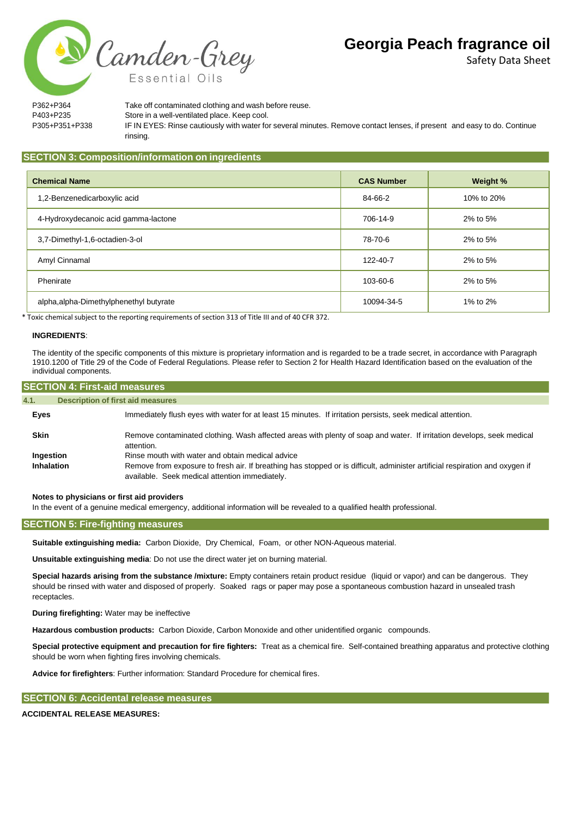Safety Data Sheet

Camden-Grey

P362+P364 Take off contaminated clothing and wash before reuse. P403+P235 Store in a well-ventilated place. Keep cool. P305+P351+P338 IF IN EYES: Rinse cautiously with water for several minutes. Remove contact lenses, if present and easy to do. Continue rinsing.

### **SECTION 3: Composition/information on ingredients**

Essential Oi

| <b>Chemical Name</b>                    | <b>CAS Number</b> | Weight %   |
|-----------------------------------------|-------------------|------------|
| 1,2-Benzenedicarboxylic acid            | 84-66-2           | 10% to 20% |
| 4-Hydroxydecanoic acid gamma-lactone    | 706-14-9          | 2% to 5%   |
| 3,7-Dimethyl-1,6-octadien-3-ol          | 78-70-6           | 2% to 5%   |
| Amyl Cinnamal                           | 122-40-7          | 2% to 5%   |
| Phenirate                               | 103-60-6          | 2% to 5%   |
| alpha, alpha-Dimethylphenethyl butyrate | 10094-34-5        | 1% to 2%   |

\* Toxic chemical subject to the reporting requirements of section 313 of Title III and of 40 CFR 372.

#### **INGREDIENTS**:

The identity of the specific components of this mixture is proprietary information and is regarded to be a trade secret, in accordance with Paragraph 1910.1200 of Title 29 of the Code of Federal Regulations. Please refer to Section 2 for Health Hazard Identification based on the evaluation of the individual components.

| <b>SECTION 4: First-aid measures,</b>            |                                                                                                                                                                                                                                    |  |  |
|--------------------------------------------------|------------------------------------------------------------------------------------------------------------------------------------------------------------------------------------------------------------------------------------|--|--|
| <b>Description of first aid measures</b><br>4.1. |                                                                                                                                                                                                                                    |  |  |
| Eyes                                             | Immediately flush eyes with water for at least 15 minutes. If irritation persists, seek medical attention.                                                                                                                         |  |  |
| <b>Skin</b>                                      | Remove contaminated clothing. Wash affected areas with plenty of soap and water. If irritation develops, seek medical<br>attention.                                                                                                |  |  |
| Ingestion<br>Inhalation                          | Rinse mouth with water and obtain medical advice<br>Remove from exposure to fresh air. If breathing has stopped or is difficult, administer artificial respiration and oxygen if<br>available. Seek medical attention immediately. |  |  |

**Notes to physicians or first aid providers**

In the event of a genuine medical emergency, additional information will be revealed to a qualified health professional.

## **SECTION 5: Fire-fighting measures**

**Suitable extinguishing media:** Carbon Dioxide, Dry Chemical, Foam, or other NON-Aqueous material.

**Unsuitable extinguishing media**: Do not use the direct water jet on burning material.

**Special hazards arising from the substance /mixture:** Empty containers retain product residue (liquid or vapor) and can be dangerous. They should be rinsed with water and disposed of properly. Soaked rags or paper may pose a spontaneous combustion hazard in unsealed trash receptacles.

**During firefighting:** Water may be ineffective

**Hazardous combustion products:** Carbon Dioxide, Carbon Monoxide and other unidentified organic compounds.

**Special protective equipment and precaution for fire fighters:** Treat as a chemical fire. Self-contained breathing apparatus and protective clothing should be worn when fighting fires involving chemicals.

**Advice for firefighters**: Further information: Standard Procedure for chemical fires.

#### **SECTION 6: Accidental release measures**

#### **ACCIDENTAL RELEASE MEASURES:**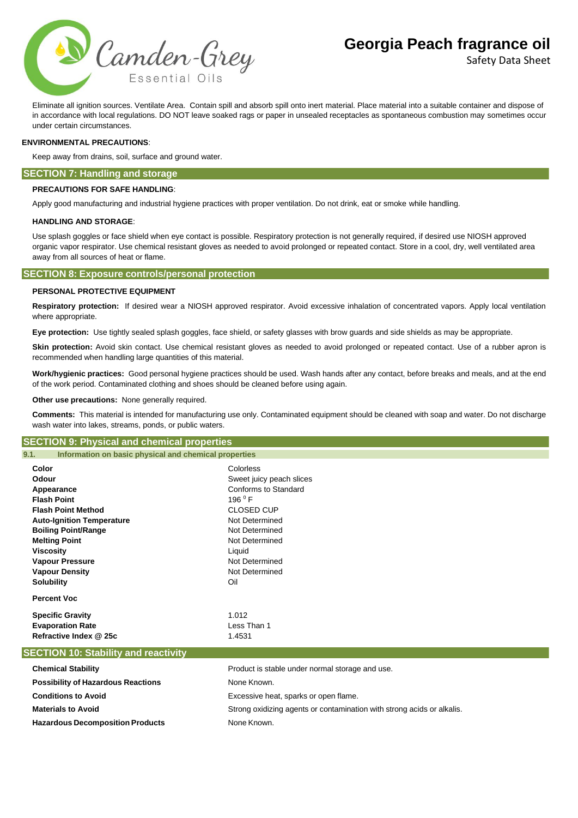

Safety Data Sheet

Eliminate all ignition sources. Ventilate Area. Contain spill and absorb spill onto inert material. Place material into a suitable container and dispose of in accordance with local regulations. DO NOT leave soaked rags or paper in unsealed receptacles as spontaneous combustion may sometimes occur under certain circumstances.

#### **ENVIRONMENTAL PRECAUTIONS**:

Keep away from drains, soil, surface and ground water.

#### **SECTION 7: Handling and storage**

#### **PRECAUTIONS FOR SAFE HANDLING**:

Apply good manufacturing and industrial hygiene practices with proper ventilation. Do not drink, eat or smoke while handling.

#### **HANDLING AND STORAGE**:

Use splash goggles or face shield when eye contact is possible. Respiratory protection is not generally required, if desired use NIOSH approved organic vapor respirator. Use chemical resistant gloves as needed to avoid prolonged or repeated contact. Store in a cool, dry, well ventilated area away from all sources of heat or flame.

#### **SECTION 8: Exposure controls/personal protection**

#### **PERSONAL PROTECTIVE EQUIPMENT**

**Respiratory protection:** If desired wear a NIOSH approved respirator. Avoid excessive inhalation of concentrated vapors. Apply local ventilation where appropriate.

**Eye protection:** Use tightly sealed splash goggles, face shield, or safety glasses with brow guards and side shields as may be appropriate.

Skin protection: Avoid skin contact. Use chemical resistant gloves as needed to avoid prolonged or repeated contact. Use of a rubber apron is recommended when handling large quantities of this material.

**Work/hygienic practices:** Good personal hygiene practices should be used. Wash hands after any contact, before breaks and meals, and at the end of the work period. Contaminated clothing and shoes should be cleaned before using again.

**Other use precautions:** None generally required.

**Comments:** This material is intended for manufacturing use only. Contaminated equipment should be cleaned with soap and water. Do not discharge wash water into lakes, streams, ponds, or public waters.

#### **SECTION 9: Physical and chemical properties**

**Hazardous Decomposition Products** None Known.

| Information on basic physical and chemical properties |                                                 |  |
|-------------------------------------------------------|-------------------------------------------------|--|
| Color                                                 | Colorless                                       |  |
| Odour                                                 | Sweet juicy peach slices                        |  |
| Appearance                                            | Conforms to Standard                            |  |
| <b>Flash Point</b>                                    | 196 $^{\circ}$ F                                |  |
| <b>Flash Point Method</b>                             | <b>CLOSED CUP</b>                               |  |
| <b>Auto-Ignition Temperature</b>                      | Not Determined                                  |  |
| <b>Boiling Point/Range</b>                            | Not Determined                                  |  |
| <b>Melting Point</b>                                  | Not Determined                                  |  |
| <b>Viscosity</b>                                      | Liquid                                          |  |
| <b>Vapour Pressure</b>                                | Not Determined                                  |  |
| <b>Vapour Density</b>                                 | Not Determined                                  |  |
| <b>Solubility</b>                                     | Oil                                             |  |
| <b>Percent Voc</b>                                    |                                                 |  |
| <b>Specific Gravity</b>                               | 1.012                                           |  |
| <b>Evaporation Rate</b>                               | Less Than 1                                     |  |
| Refractive Index @ 25c                                | 1.4531                                          |  |
| <b>SECTION 10: Stability and reactivity</b>           |                                                 |  |
| <b>Chemical Stability</b>                             | Product is stable under normal storage and use. |  |
| <b>Possibility of Hazardous Reactions</b>             | None Known.                                     |  |
| <b>Conditions to Avoid</b>                            | Excessive heat, sparks or open flame.           |  |

**Materials to Avoid** Strong oxidizing agents or contamination with strong acids or alkalis.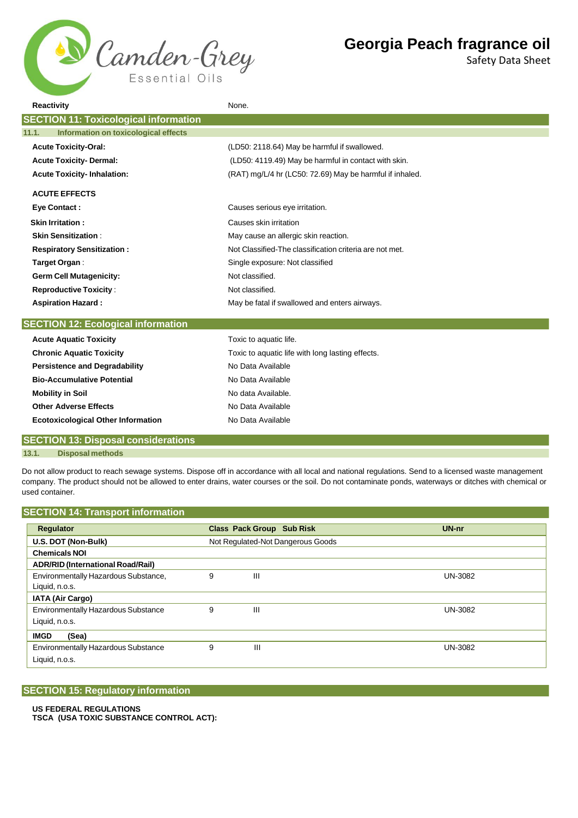

Safety Data Sheet

| <b>Reactivity</b>                             | None.                                                    |
|-----------------------------------------------|----------------------------------------------------------|
| <b>SECTION 11: Toxicological information</b>  |                                                          |
| Information on toxicological effects<br>11.1. |                                                          |
| <b>Acute Toxicity-Oral:</b>                   | (LD50: 2118.64) May be harmful if swallowed.             |
| <b>Acute Toxicity- Dermal:</b>                | (LD50: 4119.49) May be harmful in contact with skin.     |
| <b>Acute Toxicity-Inhalation:</b>             | (RAT) mg/L/4 hr (LC50: 72.69) May be harmful if inhaled. |
| <b>ACUTE EFFECTS</b>                          |                                                          |
| <b>Eye Contact:</b>                           | Causes serious eye irritation.                           |
| <b>Skin Irritation:</b>                       | Causes skin irritation                                   |
| <b>Skin Sensitization:</b>                    | May cause an allergic skin reaction.                     |
| <b>Respiratory Sensitization:</b>             | Not Classified-The classification criteria are not met.  |
| Target Organ:                                 | Single exposure: Not classified                          |
| <b>Germ Cell Mutagenicity:</b>                | Not classified.                                          |
| <b>Reproductive Toxicity:</b>                 | Not classified.                                          |
| <b>Aspiration Hazard:</b>                     | May be fatal if swallowed and enters airways.            |
| <b>SECTION 12: Ecological information</b>     |                                                          |
| <b>Acute Aquatic Toxicity</b>                 | Toxic to aquatic life.                                   |
| <b>Chronic Aquatic Toxicity</b>               | Toxic to aquatic life with long lasting effects.         |
| <b>Persistence and Degradability</b>          | No Data Available                                        |
| <b>Bio-Accumulative Potential</b>             | No Data Available                                        |
| <b>Mobility in Soil</b>                       | No data Available.                                       |
| <b>Other Adverse Effects</b>                  | No Data Available                                        |
| <b>Ecotoxicological Other Information</b>     | No Data Available                                        |
| <b>CECTION 13: Disposal considerations</b>    |                                                          |

## **SECTION 13: Disposal considerations**

**13.1. Disposal methods**

Do not allow product to reach sewage systems. Dispose off in accordance with all local and national regulations. Send to a licensed waste management company. The product should not be allowed to enter drains, water courses or the soil. Do not contaminate ponds, waterways or ditches with chemical or used container.

## **SECTION 14: Transport information**

| Regulator                                  |   | <b>Class Pack Group Sub Risk</b>  | $UN-nr$        |
|--------------------------------------------|---|-----------------------------------|----------------|
| U.S. DOT (Non-Bulk)                        |   | Not Regulated-Not Dangerous Goods |                |
| <b>Chemicals NOI</b>                       |   |                                   |                |
| <b>ADR/RID (International Road/Rail)</b>   |   |                                   |                |
| Environmentally Hazardous Substance,       | 9 | Ш                                 | <b>UN-3082</b> |
| Liquid, n.o.s.                             |   |                                   |                |
| <b>IATA (Air Cargo)</b>                    |   |                                   |                |
| <b>Environmentally Hazardous Substance</b> |   | Ш                                 | UN-3082        |
| Liquid, n.o.s.                             |   |                                   |                |
| <b>IMGD</b><br>(Sea)                       |   |                                   |                |
| <b>Environmentally Hazardous Substance</b> | 9 | Ш                                 | UN-3082        |
| Liquid, n.o.s.                             |   |                                   |                |

## **SECTION 15: Regulatory information**

#### **US FEDERAL REGULATIONS**

**TSCA (USA TOXIC SUBSTANCE CONTROL ACT):**